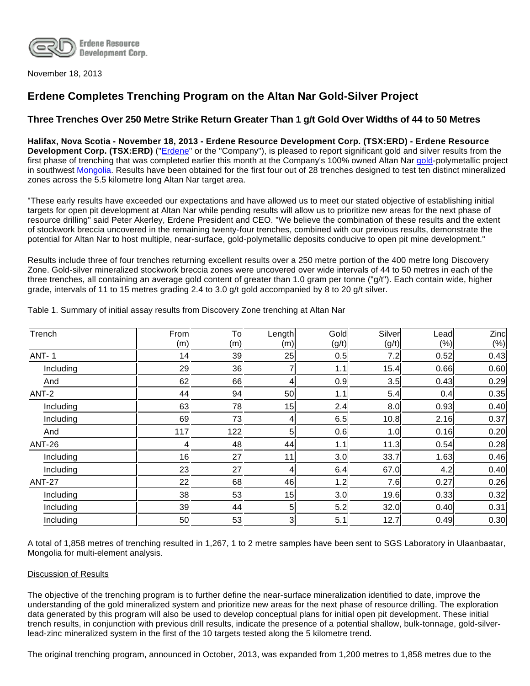

November 18, 2013

# **Erdene Completes Trenching Program on the Altan Nar Gold-Silver Project**

## **Three Trenches Over 250 Metre Strike Return Greater Than 1 g/t Gold Over Widths of 44 to 50 Metres**

**Halifax, Nova Scotia - November 18, 2013 - Erdene Resource Development Corp. (TSX:ERD) - Erdene Resource Development Corp. (TSX:ERD)** ("*Erdene*" or the "Company"), is pleased to report significant gold and silver results from the first phase of trenching that was completed earlier this month at the Company's 100% owned Altan Nar [gold](http://www.erdene.com/projects40/zuunMod42b8.php)-polymetallic project in southwest [Mongolia](http://www.erdene.com/). Results have been obtained for the first four out of 28 trenches designed to test ten distinct mineralized zones across the 5.5 kilometre long Altan Nar target area.

"These early results have exceeded our expectations and have allowed us to meet our stated objective of establishing initial targets for open pit development at Altan Nar while pending results will allow us to prioritize new areas for the next phase of resource drilling" said Peter Akerley, Erdene President and CEO. "We believe the combination of these results and the extent of stockwork breccia uncovered in the remaining twenty-four trenches, combined with our previous results, demonstrate the potential for Altan Nar to host multiple, near-surface, gold-polymetallic deposits conducive to open pit mine development."

Results include three of four trenches returning excellent results over a 250 metre portion of the 400 metre long Discovery Zone. Gold-silver mineralized stockwork breccia zones were uncovered over wide intervals of 44 to 50 metres in each of the three trenches, all containing an average gold content of greater than 1.0 gram per tonne ("g/t"). Each contain wide, higher grade, intervals of 11 to 15 metres grading 2.4 to 3.0 g/t gold accompanied by 8 to 20 g/t silver.

| Trench    | From<br>(m) | To<br>(m) | Length<br>(m)  | Gold<br>(g/t) | Silver<br>(g/t) | Lead<br>(% ) | Zinc<br>(%) |
|-----------|-------------|-----------|----------------|---------------|-----------------|--------------|-------------|
| ANT-1     | 14          | 39        | 25             | 0.5           | 7.2             | 0.52         | 0.43        |
| Including | 29          | 36        |                | 1.1           | 15.4            | 0.66         | 0.60        |
| And       | 62          | 66        | 4              | 0.9           | 3.5             | 0.43         | 0.29        |
| ANT-2     | 44          | 94        | 50             | 1.1           | 5.4             | 0.4          | 0.35        |
| Including | 63          | 78        | 15             | 2.4           | 8.0             | 0.93         | 0.40        |
| Including | 69          | 73        | 4              | 6.5           | 10.8            | 2.16         | 0.37        |
| And       | 117         | 122       | 5              | 0.6           | 1.0             | 0.16         | 0.20        |
| ANT-26    | 4           | 48        | 44             | 1.1           | 11.3            | 0.54         | 0.28        |
| Including | 16          | 27        | 11             | 3.0           | 33.7            | 1.63         | 0.46        |
| Including | 23          | 27        | 4              | 6.4           | 67.0            | 4.2          | 0.40        |
| ANT-27    | 22          | 68        | 46             | 1.2           | 7.6             | 0.27         | 0.26        |
| Including | 38          | 53        | 15             | 3.0           | 19.6            | 0.33         | 0.32        |
| Including | 39          | 44        | 5              | 5.2           | 32.0            | 0.40         | 0.31        |
| Including | 50          | 53        | $\overline{3}$ | 5.1           | 12.7            | 0.49         | 0.30        |

Table 1. Summary of initial assay results from Discovery Zone trenching at Altan Nar

A total of 1,858 metres of trenching resulted in 1,267, 1 to 2 metre samples have been sent to SGS Laboratory in Ulaanbaatar, Mongolia for multi-element analysis.

#### Discussion of Results

The objective of the trenching program is to further define the near-surface mineralization identified to date, improve the understanding of the gold mineralized system and prioritize new areas for the next phase of resource drilling. The exploration data generated by this program will also be used to develop conceptual plans for initial open pit development. These initial trench results, in conjunction with previous drill results, indicate the presence of a potential shallow, bulk-tonnage, gold-silverlead-zinc mineralized system in the first of the 10 targets tested along the 5 kilometre trend.

The original trenching program, announced in October, 2013, was expanded from 1,200 metres to 1,858 metres due to the